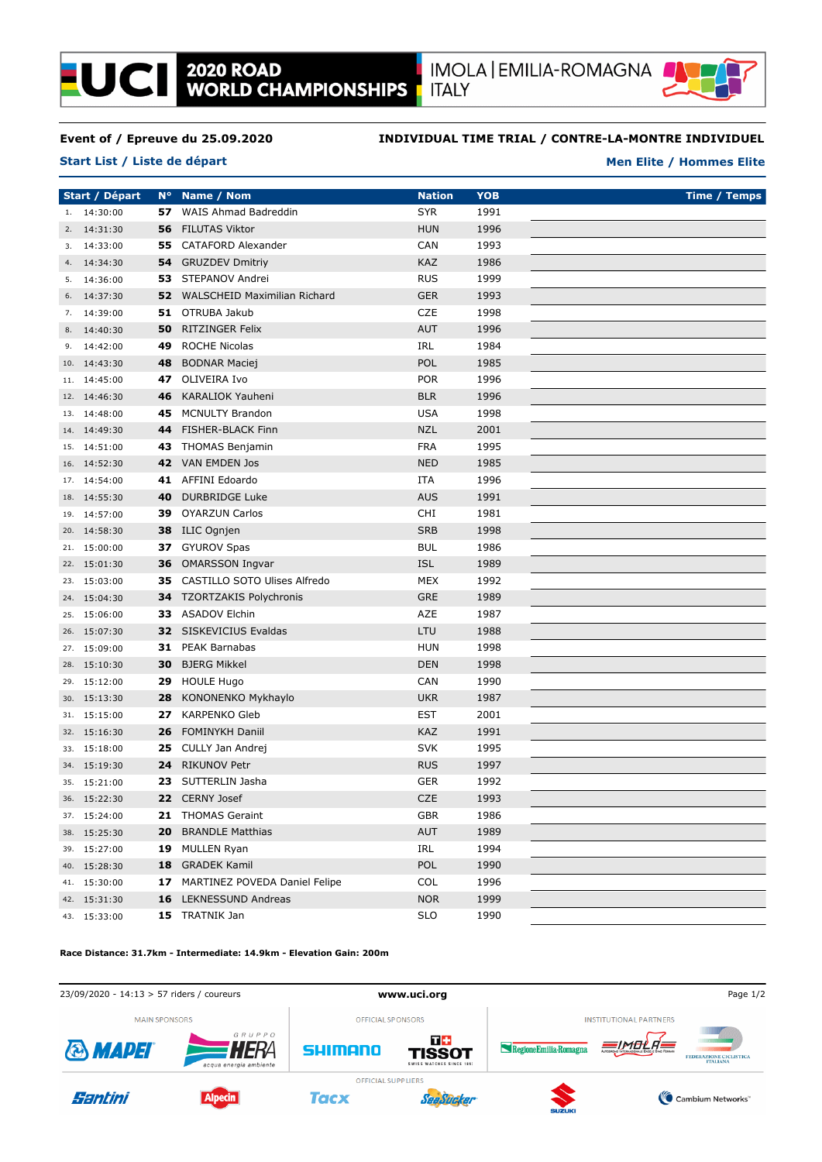

### **Event of / Epreuve du 25.09.2020**

**Start List / Liste de départ**

**LUCII** 

### **INDIVIDUAL TIME TRIAL / CONTRE-LA-MONTRE INDIVIDUEL**

### **Men Elite / Hommes Elite**

**Start / Départ N° Name / Nom Nation Time / Temps YOB** 1. 14:30:00 **57** WAIS Ahmad Badreddin **SYR** SYR 1991 2. 14:31:30 **56** FILUTAS Viktor **HUN** 1996 3. 14:33:00 **55** CATAFORD Alexander CAN 1993 4. 14:34:30 **54** GRUZDEV Dmitriy KAZ 1986 5. 14:36:00 **53** STEPANOV Andrei RUS 1999 6. 14:37:30 **52** WALSCHEID Maximilian Richard GER 1993 7. 14:39:00 **51** OTRUBA Jakub CZE 1998 8. 14:40:30 **50** RITZINGER Felix **AUT** 1996 9. 14:42:00 **49** ROCHE Nicolas IRL 1984 10. 14:43:30 **48** BODNAR Maciej **POL 1985** 11. 14:45:00 **47** OLIVEIRA Ivo **POR** 1996 12. 14:46:30 **46** KARALIOK Yauheni BLR BLR 1996 13. 14:48:00 **45** MCNULTY Brandon **1998** USA 1998 14. 14:49:30 **44** FISHER-BLACK Finn NZL 2001 15. 14:51:00 **43** THOMAS Benjamin FRA 1995 16. 14:52:30 **42** VAN EMDEN Jos **NED** 1985 17. 14:54:00 **41** AFFINI Edoardo **ITA** 1996 18. 14:55:30 **40** DURBRIDGE Luke **AUS AUS** 1991 19. 14:57:00 **39** OYARZUN Carlos CHI 1981 20. 14:58:30 **38** ILIC Ognjen SRB 5RB 1998 21. 15:00:00 **37** GYUROV Spas **BUL 1986 BUL** 1986 22. 15:01:30 **36** OMARSSON Ingvar **ISL** 1989 23. 15:03:00 **35** CASTILLO SOTO Ulises Alfredo MEX 1992 24. 15:04:30 **34** TZORTZAKIS Polychronis GRE 1989 25. 15:06:00 **33** ASADOV Elchin AZE 1987 26. 15:07:30 **32** SISKEVICIUS Evaldas LTU 1988 27. 15:09:00 **31** PEAK Barnabas HUN 1998 28. 15:10:30 **30** BJERG Mikkel DEN 1998 29. 15:12:00 **29** HOULE Hugo **CAN** 1990 30. 15:13:30 **28** KONONENKO Mykhaylo UKR 1987 31. 15:15:00 **27** KARPENKO Gleb EST 2001 32. 15:16:30 **26** FOMINYKH Daniil KAZ 1991 33. 15:18:00 **25** CULLY Jan Andrej SVK 5VK 1995 34. 15:19:30 **24** RIKUNOV Petr RUS RUS 1997 35. 15:21:00 **23** SUTTERLIN Jasha GER 1992 36. 15:22:30 **22** CERNY Josef CZE 1993 37. 15:24:00 **21** THOMAS Geraint GBR 1986 38. 15:25:30 **20** BRANDLE Matthias **AUT** 1989 39. 15:27:00 **19** MULLEN Ryan IRL 1994 40. 15:28:30 **18** GRADEK Kamil POL 1990 41. 15:30:00 **17** MARTINEZ POVEDA Daniel Felipe COL 1996 42. 15:31:30 **16** LEKNESSUND Andreas NOR 1999 43. 15:33:00 **15** TRATNIK Jan SLO 1990

# **Race Distance: 31.7km - Intermediate: 14.9km - Elevation Gain: 200m**